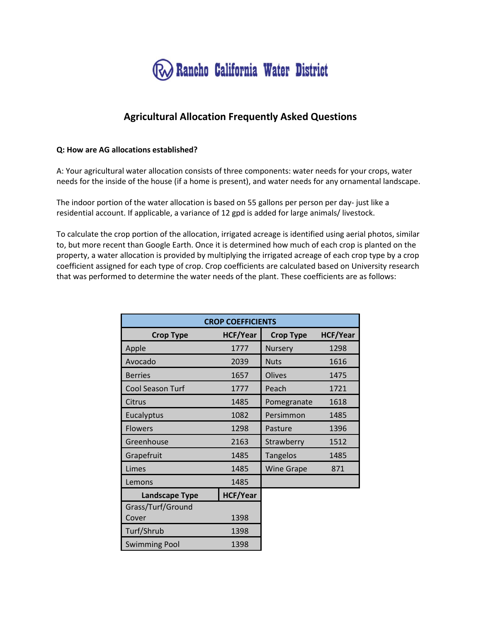

# **Agricultural Allocation Frequently Asked Questions**

#### **Q: How are AG allocations established?**

A: Your agricultural water allocation consists of three components: water needs for your crops, water needs for the inside of the house (if a home is present), and water needs for any ornamental landscape.

The indoor portion of the water allocation is based on 55 gallons per person per day- just like a residential account. If applicable, a variance of 12 gpd is added for large animals/ livestock.

To calculate the crop portion of the allocation, irrigated acreage is identified using aerial photos, similar to, but more recent than Google Earth. Once it is determined how much of each crop is planted on the property, a water allocation is provided by multiplying the irrigated acreage of each crop type by a crop coefficient assigned for each type of crop. Crop coefficients are calculated based on University research that was performed to determine the water needs of the plant. These coefficients are as follows:

| <b>CROP COEFFICIENTS</b> |                 |                   |                 |  |  |  |
|--------------------------|-----------------|-------------------|-----------------|--|--|--|
| <b>Crop Type</b>         | <b>HCF/Year</b> | <b>Crop Type</b>  | <b>HCF/Year</b> |  |  |  |
| Apple                    | 1777            | Nursery           | 1298            |  |  |  |
| Avocado                  | 2039            | <b>Nuts</b>       | 1616            |  |  |  |
| <b>Berries</b>           | 1657            | Olives            | 1475            |  |  |  |
| Cool Season Turf         | 1777            | Peach             | 1721            |  |  |  |
| Citrus                   | 1485            | Pomegranate       | 1618            |  |  |  |
| Eucalyptus               | 1082            | Persimmon         | 1485            |  |  |  |
| <b>Flowers</b>           | 1298            | Pasture           | 1396            |  |  |  |
| Greenhouse               | 2163            | Strawberry        | 1512            |  |  |  |
| Grapefruit               | 1485            | <b>Tangelos</b>   | 1485            |  |  |  |
| Limes                    | 1485            | <b>Wine Grape</b> | 871             |  |  |  |
| Lemons                   | 1485            |                   |                 |  |  |  |
| <b>Landscape Type</b>    | <b>HCF/Year</b> |                   |                 |  |  |  |
| Grass/Turf/Ground        |                 |                   |                 |  |  |  |
| Cover                    | 1398            |                   |                 |  |  |  |
| Turf/Shrub               | 1398            |                   |                 |  |  |  |
| <b>Swimming Pool</b>     | 1398            |                   |                 |  |  |  |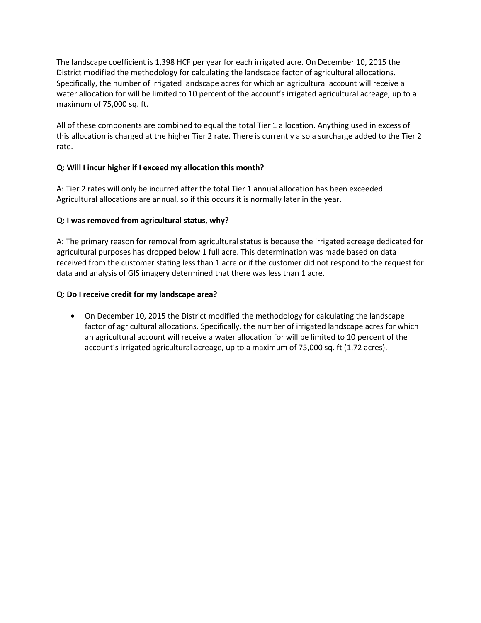The landscape coefficient is 1,398 HCF per year for each irrigated acre. On December 10, 2015 the District modified the methodology for calculating the landscape factor of agricultural allocations. Specifically, the number of irrigated landscape acres for which an agricultural account will receive a water allocation for will be limited to 10 percent of the account's irrigated agricultural acreage, up to a maximum of 75,000 sq. ft.

All of these components are combined to equal the total Tier 1 allocation. Anything used in excess of this allocation is charged at the higher Tier 2 rate. There is currently also a surcharge added to the Tier 2 rate.

# **Q: Will I incur higher if I exceed my allocation this month?**

A: Tier 2 rates will only be incurred after the total Tier 1 annual allocation has been exceeded. Agricultural allocations are annual, so if this occurs it is normally later in the year.

## **Q: I was removed from agricultural status, why?**

A: The primary reason for removal from agricultural status is because the irrigated acreage dedicated for agricultural purposes has dropped below 1 full acre. This determination was made based on data received from the customer stating less than 1 acre or if the customer did not respond to the request for data and analysis of GIS imagery determined that there was less than 1 acre.

## **Q: Do I receive credit for my landscape area?**

• On December 10, 2015 the District modified the methodology for calculating the landscape factor of agricultural allocations. Specifically, the number of irrigated landscape acres for which an agricultural account will receive a water allocation for will be limited to 10 percent of the account's irrigated agricultural acreage, up to a maximum of 75,000 sq. ft (1.72 acres).